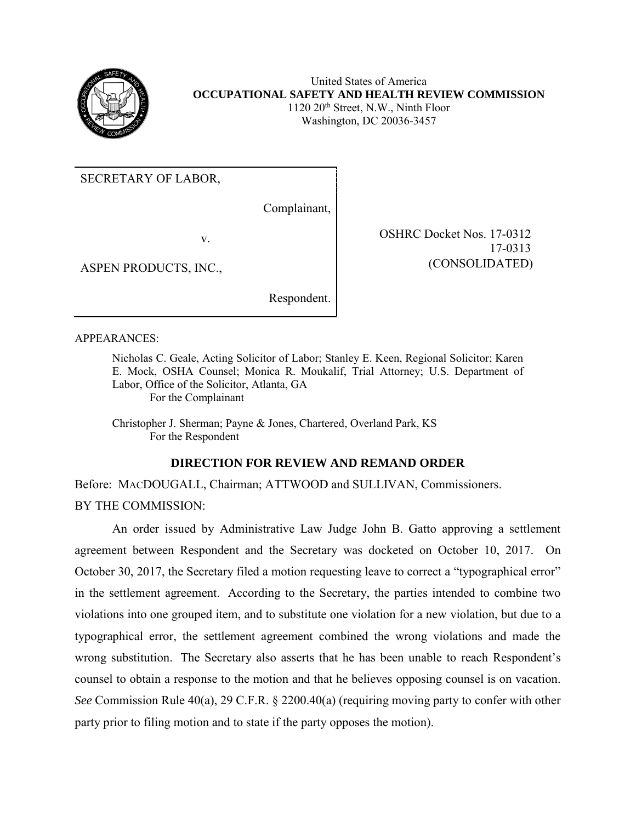

United States of America **OCCUPATIONAL SAFETY AND HEALTH REVIEW COMMISSION** 1120 20th Street, N.W., Ninth Floor Washington, DC 20036-3457

17-0313

(CONSOLIDATED) (CONSOLIDATED)

SECRETARY OF LABOR,

Complainant,

v. SHRC Docket Nos. 17-0312

ASPEN PRODUCTS, INC.,

Respondent.

APPEARANCES:

Nicholas C. Geale, Acting Solicitor of Labor; Stanley E. Keen, Regional Solicitor; Karen E. Mock, OSHA Counsel; Monica R. Moukalif, Trial Attorney; U.S. Department of Labor, Office of the Solicitor, Atlanta, GA For the Complainant

Christopher J. Sherman; Payne & Jones, Chartered, Overland Park, KS For the Respondent

## **DIRECTION FOR REVIEW AND REMAND ORDER**

Before: MACDOUGALL, Chairman; ATTWOOD and SULLIVAN, Commissioners. BY THE COMMISSION:

An order issued by Administrative Law Judge John B. Gatto approving a settlement agreement between Respondent and the Secretary was docketed on October 10, 2017. On October 30, 2017, the Secretary filed a motion requesting leave to correct a "typographical error" in the settlement agreement. According to the Secretary, the parties intended to combine two violations into one grouped item, and to substitute one violation for a new violation, but due to a typographical error, the settlement agreement combined the wrong violations and made the wrong substitution. The Secretary also asserts that he has been unable to reach Respondent's counsel to obtain a response to the motion and that he believes opposing counsel is on vacation. *See* Commission Rule 40(a), 29 C.F.R. § 2200.40(a) (requiring moving party to confer with other party prior to filing motion and to state if the party opposes the motion).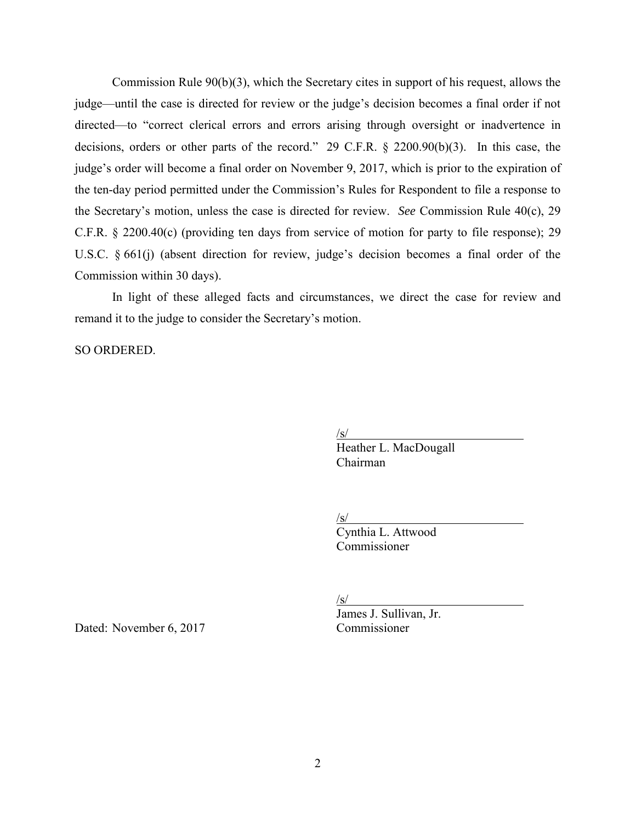Commission Rule 90(b)(3), which the Secretary cites in support of his request, allows the judge—until the case is directed for review or the judge's decision becomes a final order if not directed—to "correct clerical errors and errors arising through oversight or inadvertence in decisions, orders or other parts of the record." 29 C.F.R. § 2200.90(b)(3). In this case, the judge's order will become a final order on November 9, 2017, which is prior to the expiration of the ten-day period permitted under the Commission's Rules for Respondent to file a response to the Secretary's motion, unless the case is directed for review. *See* Commission Rule 40(c), 29 C.F.R. § 2200.40(c) (providing ten days from service of motion for party to file response); 29 U.S.C. § 661(j) (absent direction for review, judge's decision becomes a final order of the Commission within 30 days).

In light of these alleged facts and circumstances, we direct the case for review and remand it to the judge to consider the Secretary's motion.

SO ORDERED.

/s/

Heather L. MacDougall Chairman

 $\sqrt{s/}$ 

Cynthia L. Attwood Commissioner

/s/

Dated: November 6, 2017 Commissioner

James J. Sullivan, Jr.